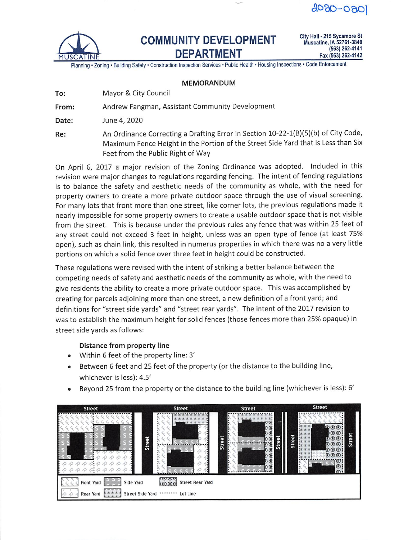$4080 - 080$ 



# COMMUNITY DEVELOPMENT DEPARTMENT

City Hall • 215 Sycamore St Muscatine, lA 52761-3840 (563) 262-4141 Fax (563) 262-4142

Planning • Zoning • Building Safety • Construction Inspection Services • Pubiic Health • Housing Inspections • Code Enforcement

### MEMORANDUM

From: Andrew Fangman, Assistant Community Development

Date: June 4, 2020

Re: An Ordinance Correcting a Drafting Error in Section 10-22-1(B)(5)(b) of City Code, Maximum Fence Height in the Portion of the Street Side Yard that is Less than Six Feet from the Public Right of Way

On April 6, 2017 a major revision of the Zoning Ordinance was adopted. Included in this revision were major changes to regulations regarding fencing. The intent of fencing regulations is to balance the safety and aesthetic needs of the community as whole, with the need for property owners to create a more private outdoor space through the use of visual screening. For many lots that front more than one street, like corner lots, the previous regulations made it nearly impossible for some property owners to create a usable outdoor space that is not visible from the street. This is because under the previous rules any fence that was within 25 feet of any street could not exceed 3 feet in height, unless was an open type of fence (at least 75% open), such as chain link, this resulted in numerus properties in which there was no a very little portions on which a solid fence over three feet in height could be constructed.

These regulations were revised with the intent of striking a better balance between the competing needs of safety and aesthetic needs of the community as whole, with the need to give residents the ability to create a more private outdoor space. This was accomplished by creating for parcels adjoining more than one street, a new definition of a front yard; and definitions for "street side yards" and "street rear yards". The intent of the 2017 revision to was to establish the maximum height for solid fences (those fences more than 25% opaque) in street side yards as follows:

# Distance from property line

- Within 6 feet of the property line: 3'
- Between 6 feet and 25 feet of the property (or the distance to the building line, whichever is less): 4.5'
- Beyond 25 from the property or the distance to the building line (whichever is less): 6'

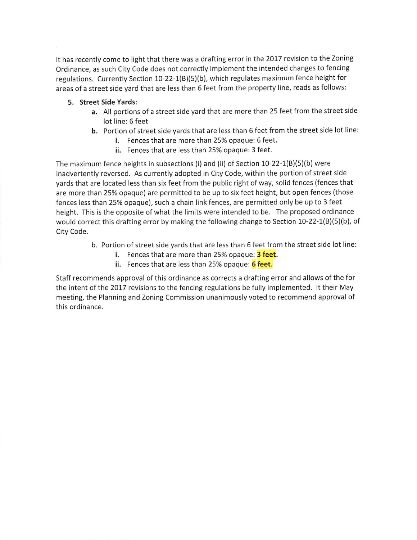It has recently come to light that there was a drafting error in the 2017 revision to the Zoning Ordinance, as such City Code does not correctly implement the intended changes to fencing regulations. Currently Section 10-22-1(B)(5)(b), which regulates maximum fence height for areas of a street side yard that are less than 6 feet from the property line, reads as follows:

## 5. Street Side Yards:

- a. All portions of a street side yard that are more than 25 feet from the street side lot line: 6 feet
- b. Portion of street side yards that are less than 6 feet from the street side lot line:
	- i. Fences that are more than 25% opaque: 6 feet.
	- ii. Fences that are less than 25% opaque: 3 feet.

The maximum fence heights in subsections (i) and (ii) of Section 10-22-1(B)(5)(b) were inadvertently reversed. As currently adopted in City Code, within the portion of street side yards that are located less than six feet from the public right of way, solid fences (fences that are more than 25% opaque) are permitted to be up to six feet height, but open fences (those fences less than 25% opaque), such a chain link fences, are permitted only be up to 3 feet height. This is the opposite of what the limits were intended to be. The proposed ordinance would correct this drafting error by making the following change to Section  $10-22-1(B)(5)(b)$ , of City Code.

- b. Portion of street side yards that are less than 6 feet from the street side lot line:
	- i. Fences that are more than 25% opaque: 3 feet.
	- ii. Fences that are less than 25% opaque: 6 feet.

Staff recommends approval of this ordinance as corrects a drafting error and allows of the for the intent of the 2017 revisions to the fencing regulations be fully implemented. It their May meeting, the Planning and Zoning Commission unanimously voted to recommend approval of this ordinance.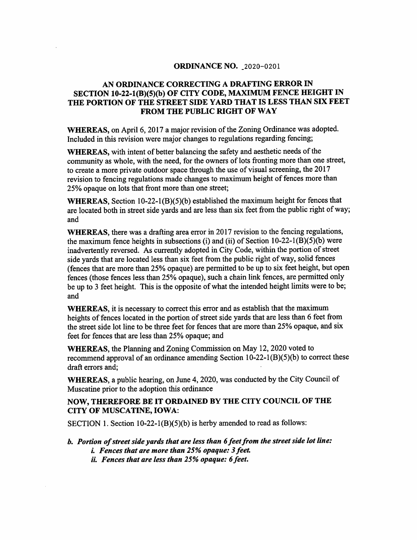#### **ORDINANCE NO. 2020-0201**

# AN ORDINANCE CORRECTING A DRAFTING ERROR IN SECTION 10-22-1(B)(5)(b) OF CITY CODE, MAXIMUM FENCE HEIGHT IN THE PORTION OF THE STREET SIDE YARD THAT IS LESS THAN SIX FEET FROM THE PUBLIC RIGHT OF WAY

WHEREAS, on April 6, 2017 a major revision of the Zoning Ordinance was adopted. Included in this revision were major changes to regulations regarding fencing;

WHEREAS, with intent of better balancing the safety and aesthetic needs of the community as whole, with the need, for the owners of lots fronting more than one street, to create a more private outdoor space through the use of visual screening, the 2017 revision to fencing regulations made changes to maximum height of fences more than 25% opaque on lots that front more than one street;

WHEREAS, Section 10-22-1(B)(5)(b) established the maximum height for fences that are located both in street side yards and are less than six feet from the public right of way; and

WHEREAS, there was a drafting area error in 2017 revision to the fencing regulations, the maximum fence heights in subsections (i) and (ii) of Section  $10-22-1(B)(5)(b)$  were inadvertently reversed. As currently adopted in City Code, within the portion of street side yards that are located less than six feet from the public right of way, solid fences (fences that are more than 25% opaque) are permitted to be up to six feet height, but open fences (those fences less than 25% opaque), such a chain link fences, are permitted only be up to 3 feet height. This is the opposite of what the intended height limits were to be; and

**WHEREAS**, it is necessary to correct this error and as establish that the maximum heights of fences located in the portion of street side yards that are less than 6 feet from the street side lot line to be three feet for fences that are more than 25% opaque, and six feet for fences that are less than 25% opaque; and

**WHEREAS**, the Planning and Zoning Commission on May 12, 2020 voted to recommend approval of an ordinance amending Section  $10-22-1(B)(5)(b)$  to correct these draft errors and:

**WHEREAS**, a public hearing, on June 4, 2020, was conducted by the City Council of Muscatine prior to the adoption this ordinance

# NOW, THEREFORE BE IT ORDAINED BY THE CITY COUNCIL OF THE **CITY OF MUSCATINE, IOWA:**

SECTION 1. Section  $10-22-1(B)(5)(b)$  is herby amended to read as follows:

b. Portion of street side yards that are less than 6 feet from the street side lot line: *i. Fences that are more than 25% opaque: 3 feet.* 

- 
- ii. Fences that are less than 25% opaque: 6 feet.